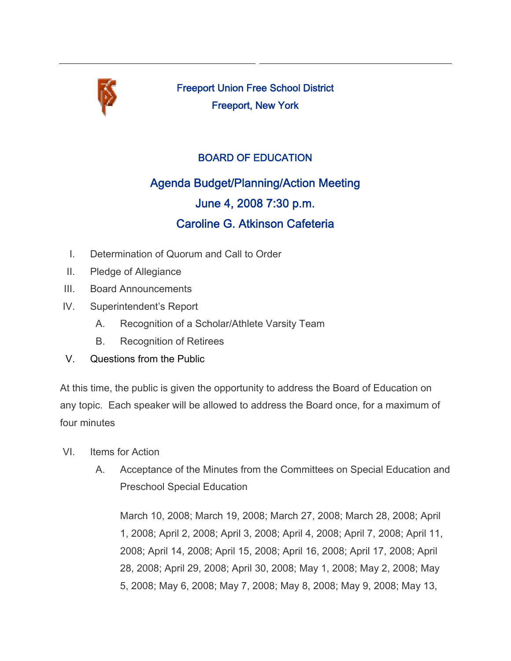

Freeport Union Free School District Freeport, New York

## BOARD OF EDUCATION

## Agenda Budget/Planning/Action Meeting June 4, 2008 7:30 p.m. Caroline G. Atkinson Cafeteria

- I. Determination of Quorum and Call to Order
- II. Pledge of Allegiance
- III. Board Announcements
- IV. Superintendent's Report
	- A. Recognition of a Scholar/Athlete Varsity Team
	- B. Recognition of Retirees
- V. Questions from the Public

At this time, the public is given the opportunity to address the Board of Education on any topic. Each speaker will be allowed to address the Board once, for a maximum of four minutes

- VI. Items for Action
	- A. Acceptance of the Minutes from the Committees on Special Education and Preschool Special Education

March 10, 2008; March 19, 2008; March 27, 2008; March 28, 2008; April 1, 2008; April 2, 2008; April 3, 2008; April 4, 2008; April 7, 2008; April 11, 2008; April 14, 2008; April 15, 2008; April 16, 2008; April 17, 2008; April 28, 2008; April 29, 2008; April 30, 2008; May 1, 2008; May 2, 2008; May 5, 2008; May 6, 2008; May 7, 2008; May 8, 2008; May 9, 2008; May 13,